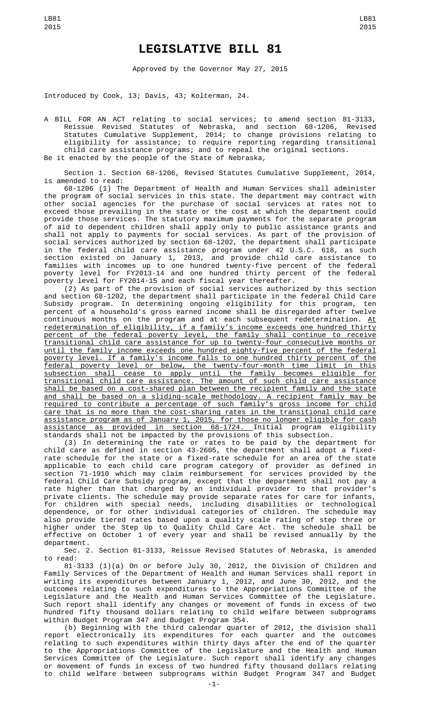## **LEGISLATIVE BILL 81**

Approved by the Governor May 27, 2015

Introduced by Cook, 13; Davis, 43; Kolterman, 24.

A BILL FOR AN ACT relating to social services; to amend section 81-3133, Reissue Revised Statutes of Nebraska, and section 68-1206, Revised Statutes Cumulative Supplement, 2014; to change provisions relating to eligibility for assistance; to require reporting regarding transitional child care assistance programs; and to repeal the original sections. Be it enacted by the people of the State of Nebraska,

Section 1. Section 68-1206, Revised Statutes Cumulative Supplement, 2014, is amended to read:

68-1206 (1) The Department of Health and Human Services shall administer the program of social services in this state. The department may contract with other social agencies for the purchase of social services at rates not to exceed those prevailing in the state or the cost at which the department could provide those services. The statutory maximum payments for the separate program of aid to dependent children shall apply only to public assistance grants and shall not apply to payments for social services. As part of the provision of social services authorized by section 68-1202, the department shall participate in the federal child care assistance program under 42 U.S.C. 618, as such section existed on January 1, 2013, and provide child care assistance to families with incomes up to one hundred twenty-five percent of the federal poverty level for FY2013-14 and one hundred thirty percent of the federal poverty level for FY2014-15 and each fiscal year thereafter.

(2) As part of the provision of social services authorized by this section and section 68-1202, the department shall participate in the federal Child Care Subsidy program. In determining ongoing eligibility for this program, ten percent of a household's gross earned income shall be disregarded after twelve continuous months on the program and at each subsequent redetermination. <u>At</u> redetermination of eligibility, if a family's income exceeds one hundred thirty percent of the federal poverty level, the family shall continue to receive transitional child care assistance for up to twenty-four consecutive months or until the family income exceeds one hundred eighty-five percent of the federal poverty level. If a family's income falls to one hundred thirty percent of the federal poverty level or below, the twenty-four-month time limit in this subsection shall cease to apply until the family becomes eligible for transitional child care assistance. The amount of such child care assistance shall be based on a cost-shared plan between the recipient family and the state and shall be based on a sliding-scale methodology. A recipient family may be required to contribute a percentage of such family's gross income for child care that is no more than the cost-sharing rates in the transitional child care assistance program as of January 1, 2015, for those no longer eligible for cash assistance as provided in section 68-1724. Initial program eligibility standards shall not be impacted by the provisions of this subsection.

(3) In determining the rate or rates to be paid by the department for child care as defined in section 43-2605, the department shall adopt a fixedrate schedule for the state or a fixed-rate schedule for an area of the state applicable to each child care program category of provider as defined in section 71-1910 which may claim reimbursement for services provided by the federal Child Care Subsidy program, except that the department shall not pay a rate higher than that charged by an individual provider to that provider's private clients. The schedule may provide separate rates for care for infants, for children with special needs, including disabilities or technological dependence, or for other individual categories of children. The schedule may also provide tiered rates based upon a quality scale rating of step three or higher under the Step Up to Quality Child Care Act. The schedule shall be effective on October 1 of every year and shall be revised annually by the department.

Sec. 2. Section 81-3133, Reissue Revised Statutes of Nebraska, is amended to read:

81-3133 (1)(a) On or before July 30, 2012, the Division of Children and Family Services of the Department of Health and Human Services shall report in writing its expenditures between January 1, 2012, and June 30, 2012, and the outcomes relating to such expenditures to the Appropriations Committee of the Legislature and the Health and Human Services Committee of the Legislature. Such report shall identify any changes or movement of funds in excess of two hundred fifty thousand dollars relating to child welfare between subprograms within Budget Program 347 and Budget Program 354.

(b) Beginning with the third calendar quarter of 2012, the division shall report electronically its expenditures for each quarter and the outcomes relating to such expenditures within thirty days after the end of the quarter to the Appropriations Committee of the Legislature and the Health and Human Services Committee of the Legislature. Such report shall identify any changes or movement of funds in excess of two hundred fifty thousand dollars relating to child welfare between subprograms within Budget Program 347 and Budget